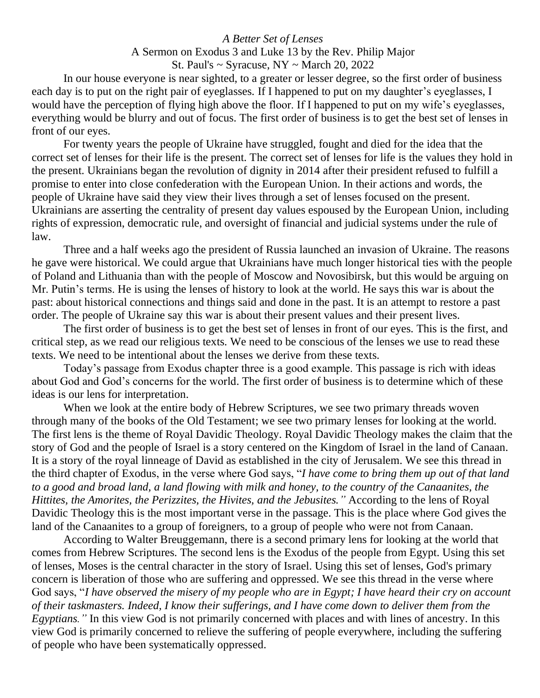## *A Better Set of Lenses* A Sermon on Exodus 3 and Luke 13 by the Rev. Philip Major St. Paul's  $\sim$  Syracuse, NY  $\sim$  March 20, 2022

In our house everyone is near sighted, to a greater or lesser degree, so the first order of business each day is to put on the right pair of eyeglasses. If I happened to put on my daughter's eyeglasses, I would have the perception of flying high above the floor. If I happened to put on my wife's eyeglasses, everything would be blurry and out of focus. The first order of business is to get the best set of lenses in front of our eyes.

For twenty years the people of Ukraine have struggled, fought and died for the idea that the correct set of lenses for their life is the present. The correct set of lenses for life is the values they hold in the present. Ukrainians began the revolution of dignity in 2014 after their president refused to fulfill a promise to enter into close confederation with the European Union. In their actions and words, the people of Ukraine have said they view their lives through a set of lenses focused on the present. Ukrainians are asserting the centrality of present day values espoused by the European Union, including rights of expression, democratic rule, and oversight of financial and judicial systems under the rule of law.

Three and a half weeks ago the president of Russia launched an invasion of Ukraine. The reasons he gave were historical. We could argue that Ukrainians have much longer historical ties with the people of Poland and Lithuania than with the people of Moscow and Novosibirsk, but this would be arguing on Mr. Putin's terms. He is using the lenses of history to look at the world. He says this war is about the past: about historical connections and things said and done in the past. It is an attempt to restore a past order. The people of Ukraine say this war is about their present values and their present lives.

The first order of business is to get the best set of lenses in front of our eyes. This is the first, and critical step, as we read our religious texts. We need to be conscious of the lenses we use to read these texts. We need to be intentional about the lenses we derive from these texts.

Today's passage from Exodus chapter three is a good example. This passage is rich with ideas about God and God's concerns for the world. The first order of business is to determine which of these ideas is our lens for interpretation.

When we look at the entire body of Hebrew Scriptures, we see two primary threads woven through many of the books of the Old Testament; we see two primary lenses for looking at the world. The first lens is the theme of Royal Davidic Theology. Royal Davidic Theology makes the claim that the story of God and the people of Israel is a story centered on the Kingdom of Israel in the land of Canaan. It is a story of the royal linneage of David as established in the city of Jerusalem. We see this thread in the third chapter of Exodus, in the verse where God says, "*I have come to bring them up out of that land to a good and broad land, a land flowing with milk and honey, to the country of the Canaanites, the Hittites, the Amorites, the Perizzites, the Hivites, and the Jebusites."* According to the lens of Royal Davidic Theology this is the most important verse in the passage. This is the place where God gives the land of the Canaanites to a group of foreigners, to a group of people who were not from Canaan.

According to Walter Breuggemann, there is a second primary lens for looking at the world that comes from Hebrew Scriptures. The second lens is the Exodus of the people from Egypt. Using this set of lenses, Moses is the central character in the story of Israel. Using this set of lenses, God's primary concern is liberation of those who are suffering and oppressed. We see this thread in the verse where God says, "*I have observed the misery of my people who are in Egypt; I have heard their cry on account of their taskmasters. Indeed, I know their sufferings, and I have come down to deliver them from the Egyptians."* In this view God is not primarily concerned with places and with lines of ancestry. In this view God is primarily concerned to relieve the suffering of people everywhere, including the suffering of people who have been systematically oppressed.